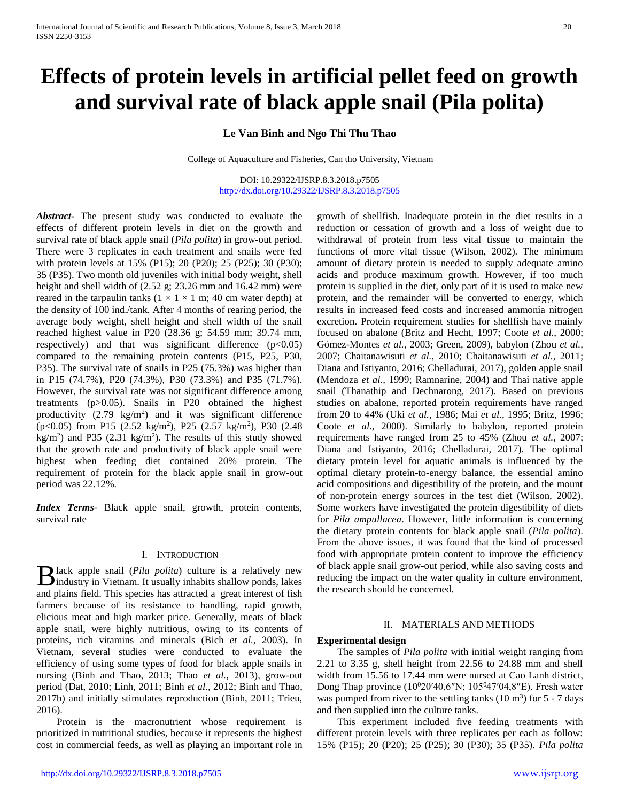# **Effects of protein levels in artificial pellet feed on growth and survival rate of black apple snail (Pila polita)**

**Le Van Binh and Ngo Thi Thu Thao**

College of Aquaculture and Fisheries, Can tho University, Vietnam

DOI: 10.29322/IJSRP.8.3.2018.p7505 <http://dx.doi.org/10.29322/IJSRP.8.3.2018.p7505>

*Abstract***-** The present study was conducted to evaluate the effects of different protein levels in diet on the growth and survival rate of black apple snail (*Pila polita*) in grow-out period. There were 3 replicates in each treatment and snails were fed with protein levels at 15% (P15); 20 (P20); 25 (P25); 30 (P30); 35 (P35). Two month old juveniles with initial body weight, shell height and shell width of (2.52 g; 23.26 mm and 16.42 mm) were reared in the tarpaulin tanks  $(1 \times 1 \times 1 \text{ m}; 40 \text{ cm}$  water depth) at the density of 100 ind./tank. After 4 months of rearing period, the average body weight, shell height and shell width of the snail reached highest value in P20 (28.36 g; 54.59 mm; 39.74 mm, respectively) and that was significant difference  $(p<0.05)$ compared to the remaining protein contents (P15, P25, P30, P35). The survival rate of snails in P25 (75.3%) was higher than in P15 (74.7%), P20 (74.3%), P30 (73.3%) and P35 (71.7%). However, the survival rate was not significant difference among treatments (p>0.05). Snails in P20 obtained the highest productivity  $(2.79 \text{ kg/m}^2)$  and it was significant difference  $(p<0.05)$  from P15 (2.52 kg/m<sup>2</sup>), P25 (2.57 kg/m<sup>2</sup>), P30 (2.48  $\text{kg/m}^2$ ) and P35 (2.31 kg/m<sup>2</sup>). The results of this study showed that the growth rate and productivity of black apple snail were highest when feeding diet contained 20% protein. The requirement of protein for the black apple snail in grow-out period was 22.12%.

*Index Terms*- Black apple snail, growth, protein contents, survival rate

#### I. INTRODUCTION

lack apple snail (*Pila polita*) culture is a relatively new **B** lack apple snail (*Pila polita*) culture is a relatively new industry in Vietnam. It usually inhabits shallow ponds, lakes and plains field. This species has attracted a great interest of fish farmers because of its resistance to handling, rapid growth, elicious meat and high market price. Generally, meats of black apple snail, were highly nutritious, owing to its contents of proteins, rich vitamins and minerals (Bich *et al.*, 2003). In Vietnam, several studies were conducted to evaluate the efficiency of using some types of food for black apple snails in nursing (Binh and Thao, 2013; Thao *et al.,* 2013), grow-out period (Dat, 2010; Linh, 2011; Binh *et al.,* 2012; Binh and Thao, 2017b) and initially stimulates reproduction (Binh, 2011; Trieu, 2016).

 Protein is the macronutrient whose requirement is prioritized in nutritional studies, because it represents the highest cost in commercial feeds, as well as playing an important role in growth of shellfish. Inadequate protein in the diet results in a reduction or cessation of growth and a loss of weight due to withdrawal of protein from less vital tissue to maintain the functions of more vital tissue (Wilson, 2002). The minimum amount of dietary protein is needed to supply adequate amino acids and produce maximum growth. However, if too much protein is supplied in the diet, only part of it is used to make new protein, and the remainder will be converted to energy, which results in increased feed costs and increased ammonia nitrogen excretion. Protein requirement studies for shellfish have mainly focused on abalone (Britz and Hecht, 1997; Coote *et al.,* 2000; Gómez-Montes *et al.,* 2003; Green, 2009), babylon (Zhou *et al.,* 2007; Chaitanawisuti *et al.*, 2010; Chaitanawisuti *et al.*, 2011; Diana and Istiyanto, 2016; Chelladurai, 2017), golden apple snail (Mendoza *et al.,* 1999; Ramnarine, 2004) and Thai native apple snail (Thanathip and Dechnarong, 2017). Based on previous studies on abalone, reported protein requirements have ranged from 20 to 44% (Uki *et al.,* 1986; Mai *et al.,* 1995; Britz, 1996; Coote *et al.,* 2000). Similarly to babylon, reported protein requirements have ranged from 25 to 45% (Zhou *et al.,* 2007; Diana and Istiyanto, 2016; Chelladurai, 2017). The optimal dietary protein level for aquatic animals is influenced by the optimal dietary protein-to-energy balance, the essential amino acid compositions and digestibility of the protein, and the mount of non-protein energy sources in the test diet (Wilson, 2002). Some workers have investigated the protein digestibility of diets for *Pila ampullacea*. However, little information is concerning the dietary protein contents for black apple snail (*Pila polita*). From the above issues, it was found that the kind of processed food with appropriate protein content to improve the efficiency of black apple snail grow-out period, while also saving costs and reducing the impact on the water quality in culture environment, the research should be concerned.

# II. MATERIALS AND METHODS

### **Experimental design**

 The samples of *Pila polita* with initial weight ranging from 2.21 to 3.35 g, shell height from 22.56 to 24.88 mm and shell width from 15.56 to 17.44 mm were nursed at Cao Lanh district, Dong Thap province  $(10^{0}20'40, 6''N; 105^{0}47'04, 8''E)$ . Fresh water was pumped from river to the settling tanks  $(10 \text{ m}^3)$  for 5 - 7 days and then supplied into the culture tanks.

 This experiment included five feeding treatments with different protein levels with three replicates per each as follow: 15% (P15); 20 (P20); 25 (P25); 30 (P30); 35 (P35). *Pila polita*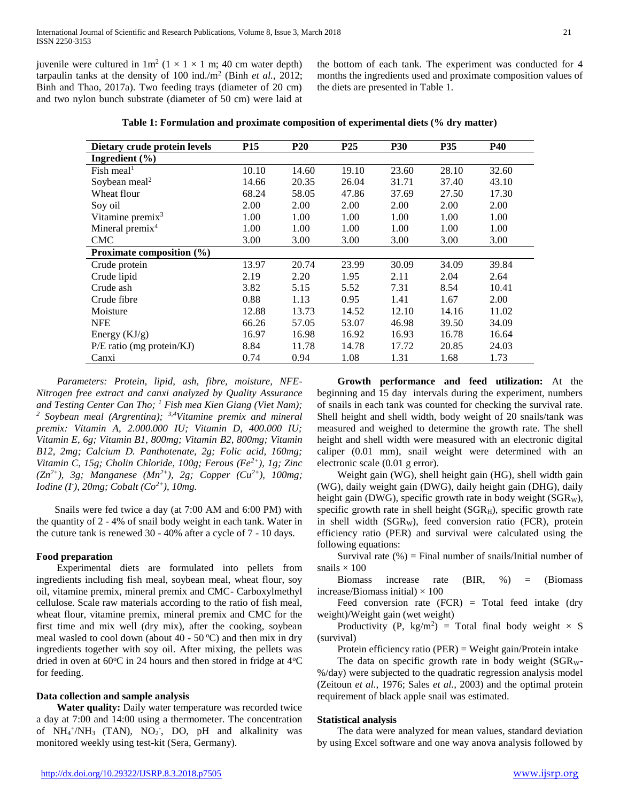juvenile were cultured in  $1m^2$  ( $1 \times 1 \times 1$  m; 40 cm water depth) tarpaulin tanks at the density of 100 ind./m<sup>2</sup> (Binh *et al.,* 2012; Binh and Thao, 2017a). Two feeding trays (diameter of 20 cm) and two nylon bunch substrate (diameter of 50 cm) were laid at

the bottom of each tank. The experiment was conducted for 4 months the ingredients used and proximate composition values of the diets are presented in Table 1.

| Dietary crude protein levels | <b>P15</b> | <b>P20</b> | P <sub>25</sub> | <b>P30</b> | <b>P35</b> | <b>P40</b> |
|------------------------------|------------|------------|-----------------|------------|------------|------------|
| Ingredient $(\% )$           |            |            |                 |            |            |            |
| Fish meal <sup>1</sup>       | 10.10      | 14.60      | 19.10           | 23.60      | 28.10      | 32.60      |
| Soybean meal <sup>2</sup>    | 14.66      | 20.35      | 26.04           | 31.71      | 37.40      | 43.10      |
| Wheat flour                  | 68.24      | 58.05      | 47.86           | 37.69      | 27.50      | 17.30      |
| Soy oil                      | 2.00       | 2.00       | 2.00            | 2.00       | 2.00       | 2.00       |
| Vitamine premix $3$          | 1.00       | 1.00       | 1.00            | 1.00       | 1.00       | 1.00       |
| Mineral premix <sup>4</sup>  | 1.00       | 1.00       | 1.00            | 1.00       | 1.00       | 1.00       |
| <b>CMC</b>                   | 3.00       | 3.00       | 3.00            | 3.00       | 3.00       | 3.00       |
| Proximate composition (%)    |            |            |                 |            |            |            |
| Crude protein                | 13.97      | 20.74      | 23.99           | 30.09      | 34.09      | 39.84      |
| Crude lipid                  | 2.19       | 2.20       | 1.95            | 2.11       | 2.04       | 2.64       |
| Crude ash                    | 3.82       | 5.15       | 5.52            | 7.31       | 8.54       | 10.41      |
| Crude fibre                  | 0.88       | 1.13       | 0.95            | 1.41       | 1.67       | 2.00       |
| Moisture                     | 12.88      | 13.73      | 14.52           | 12.10      | 14.16      | 11.02      |
| <b>NFE</b>                   | 66.26      | 57.05      | 53.07           | 46.98      | 39.50      | 34.09      |
| Energy $(KJ/g)$              | 16.97      | 16.98      | 16.92           | 16.93      | 16.78      | 16.64      |
| P/E ratio (mg protein/KJ)    | 8.84       | 11.78      | 14.78           | 17.72      | 20.85      | 24.03      |
| Canxi                        | 0.74       | 0.94       | 1.08            | 1.31       | 1.68       | 1.73       |

 *Parameters: Protein, lipid, ash, fibre, moisture, NFE-Nitrogen free extract and canxi analyzed by Quality Assurance and Testing Center Can Tho; <sup>1</sup> Fish mea Kien Giang (Viet Nam); <sup>2</sup> Soybean meal (Argrentina); 3,4Vitamine premix and mineral premix: Vitamin A, 2.000.000 IU; Vitamin D, 400.000 IU; Vitamin E, 6g; Vitamin B1, 800mg; Vitamin B2, 800mg; Vitamin B12, 2mg; Calcium D. Panthotenate, 2g; Folic acid, 160mg; Vitamin C, 15g; Cholin Chloride, 100g; Ferous (Fe2+), 1g; Zinc (Zn2+), 3g; Manganese (Mn2+), 2g; Copper (Cu2+), 100mg; Iodine (I- ), 20mg; Cobalt (Co2+), 10mg.*

Snails were fed twice a day (at 7:00 AM and 6:00 PM) with the quantity of 2 - 4% of snail body weight in each tank. Water in the cuture tank is renewed 30 - 40% after a cycle of 7 - 10 days.

# **Food preparation**

 Experimental diets are formulated into pellets from ingredients including fish meal, soybean meal, wheat flour, soy oil, vitamine premix, mineral premix and CMC- Carboxylmethyl cellulose. Scale raw materials according to the ratio of fish meal, wheat flour, vitamine premix, mineral premix and CMC for the first time and mix well (dry mix), after the cooking, soybean meal wasled to cool down (about  $40 - 50$  °C) and then mix in dry ingredients together with soy oil. After mixing, the pellets was dried in oven at  $60^{\circ}$ C in 24 hours and then stored in fridge at  $4^{\circ}$ C for feeding.

#### **Data collection and sample analysis**

 **Water quality:** Daily water temperature was recorded twice a day at 7:00 and 14:00 using a thermometer. The concentration of  $NH_4^+/NH_3$  (TAN),  $NO_2$ ,  $DO$ ,  $pH$  and alkalinity was monitored weekly using test-kit (Sera, Germany).

 **Growth performance and feed utilization:** At the beginning and 15 day intervals during the experiment, numbers of snails in each tank was counted for checking the survival rate. Shell height and shell width, body weight of 20 snails/tank was measured and weighed to determine the growth rate. The shell height and shell width were measured with an electronic digital caliper (0.01 mm), snail weight were determined with an electronic scale (0.01 g error).

 Weight gain (WG), shell height gain (HG), shell width gain (WG), daily weight gain (DWG), daily height gain (DHG), daily height gain (DWG), specific growth rate in body weight (SGR<sub>W</sub>), specific growth rate in shell height  $(SGR_H)$ , specific growth rate in shell width (SGRW), feed conversion ratio (FCR), protein efficiency ratio (PER) and survival were calculated using the following equations:

Survival rate  $(\%)$  = Final number of snails/Initial number of snails  $\times$  100

 Biomass increase rate (BIR, %) = (Biomass increase/Biomass initial)  $\times$  100

Feed conversion rate  $(FCR)$  = Total feed intake (dry weight)/Weight gain (wet weight)

Productivity (P,  $\text{kg/m}^2$ ) = Total final body weight  $\times$  S (survival)

Protein efficiency ratio (PER) = Weight gain/Protein intake

The data on specific growth rate in body weight  $(SGR<sub>W</sub>$ -%/day) were subjected to the quadratic regression analysis model (Zeitoun *et al.,* 1976; Sales *et al.,* 2003) and the optimal protein requirement of black apple snail was estimated.

# **Statistical analysis**

 The data were analyzed for mean values, standard deviation by using Excel software and one way anova analysis followed by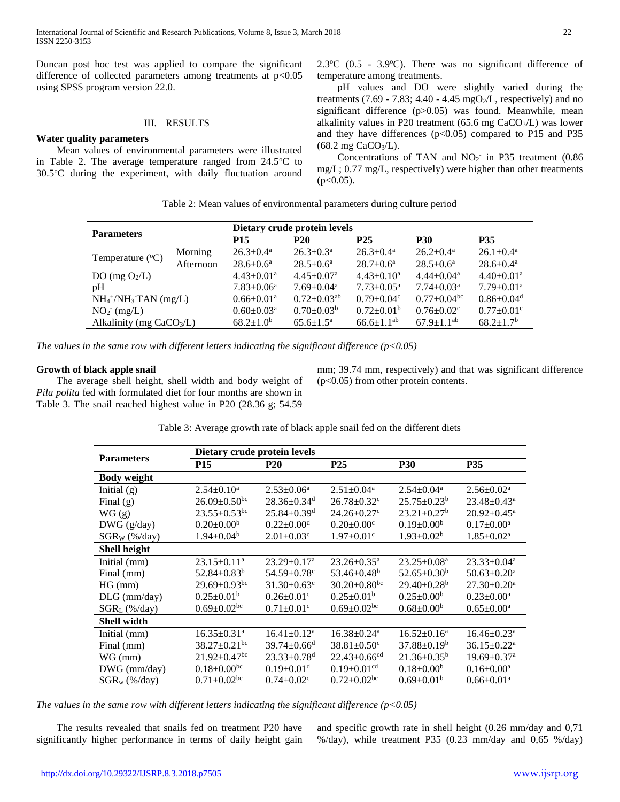Duncan post hoc test was applied to compare the significant difference of collected parameters among treatments at  $p<0.05$ using SPSS program version 22.0.

# III. RESULTS

# **Water quality parameters**

 Mean values of environmental parameters were illustrated in Table 2. The average temperature ranged from  $24.5^{\circ}$ C to  $30.5^{\circ}$ C during the experiment, with daily fluctuation around  $2.3^{\circ}$ C (0.5 - 3.9 $^{\circ}$ C). There was no significant difference of temperature among treatments.

 pH values and DO were slightly varied during the treatments (7.69 - 7.83; 4.40 - 4.45 mgO<sub>2</sub>/L, respectively) and no significant difference (p>0.05) was found. Meanwhile, mean alkalinity values in P20 treatment ( $65.6$  mg CaCO<sub>3</sub>/L) was lower and they have differences  $(p<0.05)$  compared to P15 and P35  $(68.2 \text{ mg } \text{CaCO}_3/\text{L}).$ 

Concentrations of TAN and  $NO<sub>2</sub>$  in P35 treatment (0.86) mg/L; 0.77 mg/L, respectively) were higher than other treatments  $(p<0.05)$ .

| Table 2: Mean values of environmental parameters during culture period |  |
|------------------------------------------------------------------------|--|
|------------------------------------------------------------------------|--|

|                            |           | Dietary crude protein levels |                               |                              |                              |                              |  |
|----------------------------|-----------|------------------------------|-------------------------------|------------------------------|------------------------------|------------------------------|--|
| <b>Parameters</b>          |           | <b>P15</b>                   | <b>P20</b>                    | <b>P25</b>                   | <b>P30</b>                   | <b>P35</b>                   |  |
|                            | Morning   | $26.3 \pm 0.4^{\text{a}}$    | $26.3 \pm 0.3^{\text{a}}$     | $26.3 \pm 0.4^{\text{a}}$    | $26.2 \pm 0.4^{\text{a}}$    | $26.1 \pm 0.4^{\text{a}}$    |  |
| Temperature $(^{\circ}C)$  | Afternoon | $28.6 \pm 0.6^a$             | $28.5 \pm 0.6^a$              | $28.7+0.6^a$                 | $28.5 \pm 0.6^{\circ}$       | $28.6 \pm 0.4^{\text{a}}$    |  |
| DO (mg $O_2/L$ )           |           | $4.43 \pm 0.01$ <sup>a</sup> | $4.45 \pm 0.07$ <sup>a</sup>  | $4.43 \pm 0.10^a$            | $4.44 \pm 0.04$ <sup>a</sup> | $4.40 \pm 0.01$ <sup>a</sup> |  |
| pH                         |           | $7.83 \pm 0.06^a$            | $7.69 \pm 0.04$ <sup>a</sup>  | $7.73 \pm 0.05^{\text{a}}$   | $7.74 \pm 0.03$ <sup>a</sup> | $7.79 \pm 0.01$ <sup>a</sup> |  |
| $NH_4^+/NH_3$ TAN (mg/L)   |           | $0.66 \pm 0.01$ <sup>a</sup> | $0.72 \pm 0.03$ <sup>ab</sup> | $0.79 \pm 0.04$ <sup>c</sup> | $0.77+0.04bc$                | $0.86 \pm 0.04$ <sup>d</sup> |  |
| $NO2- (mg/L)$              |           | $0.60 \pm 0.03$ <sup>a</sup> | $0.70 \pm 0.03^b$             | $0.72 \pm 0.01^b$            | $0.76 \pm 0.02$ <sup>c</sup> | $0.77 \pm 0.01$ <sup>c</sup> |  |
| Alkalinity (mg $CaCO3/L$ ) |           | $68.2 \pm 1.0^b$             | $65.6 \pm 1.5^{\rm a}$        | $66.6 \pm 1.1^{ab}$          | $67.9 \pm 1.1^{ab}$          | $68.2 \pm 1.7$ <sup>b</sup>  |  |

*The values in the same row with different letters indicating the significant difference (p<0.05)* 

### **Growth of black apple snail**

 The average shell height, shell width and body weight of *Pila polita* fed with formulated diet for four months are shown in Table 3. The snail reached highest value in P20 (28.36 g; 54.59

mm; 39.74 mm, respectively) and that was significant difference (p<0.05) from other protein contents.

| <b>Parameters</b>  | Dietary crude protein levels   |                               |                                |                               |                               |  |  |
|--------------------|--------------------------------|-------------------------------|--------------------------------|-------------------------------|-------------------------------|--|--|
|                    | <b>P15</b>                     | <b>P20</b>                    | P <sub>25</sub>                | <b>P30</b>                    | <b>P35</b>                    |  |  |
| <b>Body weight</b> |                                |                               |                                |                               |                               |  |  |
| Initial $(g)$      | $2.54 \pm 0.10^a$              | $2.53 \pm 0.06^a$             | $2.51 \pm 0.04^a$              | $2.54 \pm 0.04$ <sup>a</sup>  | $2.56 \pm 0.02^{\text{a}}$    |  |  |
| Final $(g)$        | $26.09 \pm 0.50$ <sup>bc</sup> | $28.36 \pm 0.34$ <sup>d</sup> | $26.78 \pm 0.32$ <sup>c</sup>  | $25.75 \pm 0.23^b$            | $23.48 \pm 0.43^a$            |  |  |
| WG(g)              | $23.55 \pm 0.53$ <sup>bc</sup> | $25.84 \pm 0.39$ <sup>d</sup> | $24.26 \pm 0.27$ °             | $23.21 \pm 0.27$ <sup>b</sup> | $20.92 \pm 0.45^{\text{a}}$   |  |  |
| $DWG$ (g/day)      | $0.20 \pm 0.00^b$              | $0.22 \pm 0.00$ <sup>d</sup>  | $0.20 \pm 0.00$ <sup>c</sup>   | $0.19 \pm 0.00^b$             | $0.17 \pm 0.00^a$             |  |  |
| $SGR_W$ (%/day)    | $1.94 \pm 0.04^b$              | $2.01 \pm 0.03$ <sup>c</sup>  | $1.97 \pm 0.01$ <sup>c</sup>   | $1.93 \pm 0.02^b$             | $1.85 \pm 0.02^a$             |  |  |
| Shell height       |                                |                               |                                |                               |                               |  |  |
| Initial (mm)       | $23.15 \pm 0.11$ <sup>a</sup>  | $23.29 \pm 0.17$ <sup>a</sup> | $23.26 \pm 0.35^a$             | $23.25 \pm 0.08^a$            | $23.33 \pm 0.04^a$            |  |  |
| Final (mm)         | $52.84 \pm 0.83^b$             | $54.59 \pm 0.78$ <sup>c</sup> | $53.46 \pm 0.48^b$             | $52.65 \pm 0.30^b$            | $50.63 \pm 0.20$ <sup>a</sup> |  |  |
| HG (mm)            | $29.69 \pm 0.93$ <sup>bc</sup> | $31.30 \pm 0.63$ <sup>c</sup> | $30.20 \pm 0.80$ <sup>bc</sup> | $29.40 \pm 0.28^b$            | $27.30 \pm 0.20^a$            |  |  |
| $DLG$ (mm/day)     | $0.25 \pm 0.01^b$              | $0.26 \pm 0.01$ <sup>c</sup>  | $0.25 \pm 0.01^b$              | $0.25 \pm 0.00^b$             | $0.23 \pm 0.00^a$             |  |  |
| $SGR_L$ (%/day)    | $0.69 \pm 0.02$ <sup>bc</sup>  | $0.71 \pm 0.01$ <sup>c</sup>  | $0.69 \pm 0.02$ <sup>bc</sup>  | $0.68 \pm 0.00^b$             | $0.65 \pm 0.00^a$             |  |  |
| <b>Shell width</b> |                                |                               |                                |                               |                               |  |  |
| Initial (mm)       | $16.35 \pm 0.31$ <sup>a</sup>  | $16.41 \pm 0.12^a$            | $16.38 \pm 0.24$ <sup>a</sup>  | $16.52 \pm 0.16^a$            | $16.46 \pm 0.23$ <sup>a</sup> |  |  |
| Final (mm)         | $38.27 \pm 0.21$ <sup>bc</sup> | $39.74 \pm 0.66$ <sup>d</sup> | $38.81 \pm 0.50$ <sup>c</sup>  | $37.88 \pm 0.19^b$            | $36.15 \pm 0.22$ <sup>a</sup> |  |  |
| $WG$ (mm)          | $21.92 \pm 0.47$ <sup>bc</sup> | $23.33 \pm 0.78$ <sup>d</sup> | $22.43 \pm 0.66$ <sup>cd</sup> | $21.36 \pm 0.35^b$            | $19.69 \pm 0.37$ <sup>a</sup> |  |  |
| $DWG$ (mm/day)     | $0.18 \pm 0.00$ <sup>bc</sup>  | $0.19 \pm 0.01$ <sup>d</sup>  | $0.19 \pm 0.01$ <sup>cd</sup>  | $0.18 \pm 0.00^b$             | $0.16 \pm 0.00^a$             |  |  |
| $SGR_w$ (%/day)    | $0.71 \pm 0.02$ <sup>bc</sup>  | $0.74 \pm 0.02$ <sup>c</sup>  | $0.72 \pm 0.02$ <sup>bc</sup>  | $0.69 \pm 0.01^b$             | $0.66 \pm 0.01^a$             |  |  |

Table 3: Average growth rate of black apple snail fed on the different diets

*The values in the same row with different letters indicating the significant difference (p<0.05)* 

 The results revealed that snails fed on treatment P20 have significantly higher performance in terms of daily height gain

and specific growth rate in shell height (0.26 mm/day and 0,71 %/day), while treatment P35 (0.23 mm/day and 0,65 %/day)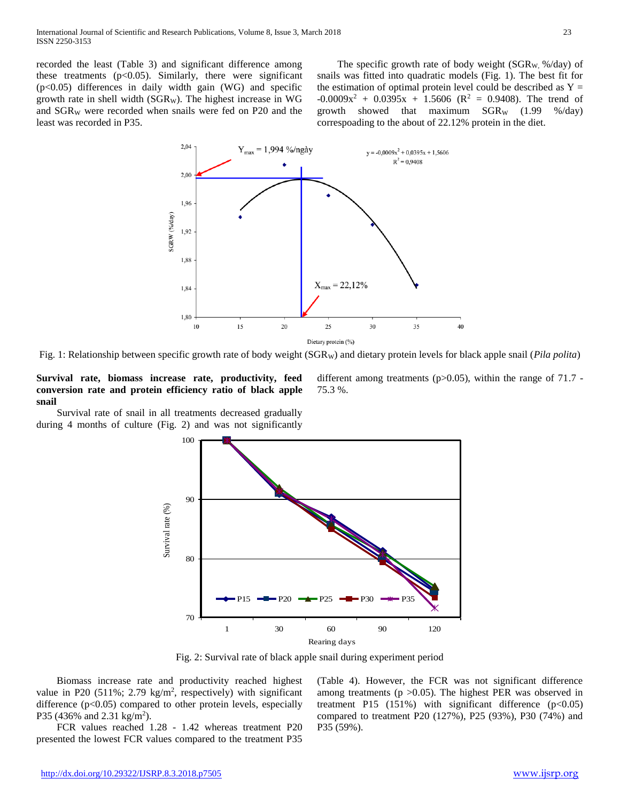recorded the least (Table 3) and significant difference among these treatments  $(p<0.05)$ . Similarly, there were significant  $(p<0.05)$  differences in daily width gain (WG) and specific growth rate in shell width ( $SGR_W$ ). The highest increase in WG and  $SGR_W$  were recorded when snails were fed on P20 and the least was recorded in P35.

The specific growth rate of body weight ( $SGR<sub>W</sub>$ , %/day) of snails was fitted into quadratic models (Fig. 1). The best fit for the estimation of optimal protein level could be described as  $Y =$  $-0.0009x^2 + 0.0395x + 1.5606$  (R<sup>2</sup> = 0.9408). The trend of growth showed that maximum  $SGR_W$  (1.99 %/day) correspoading to the about of 22.12% protein in the diet.



Fig. 1: Relationship between specific growth rate of body weight (SGR<sub>W</sub>) and dietary protein levels for black apple snail (*Pila polita*)

**Survival rate, biomass increase rate, productivity, feed conversion rate and protein efficiency ratio of black apple snail**

 Survival rate of snail in all treatments decreased gradually during 4 months of culture (Fig. 2) and was not significantly different among treatments ( $p > 0.05$ ), within the range of 71.7 -75.3 %.



Fig. 2: Survival rate of black apple snail during experiment period

 Biomass increase rate and productivity reached highest value in P20  $(511\%; 2.79 \text{ kg/m}^2, \text{ respectively})$  with significant difference (p<0.05) compared to other protein levels, especially P35 (436% and 2.31 kg/m<sup>2</sup>).

 FCR values reached 1.28 - 1.42 whereas treatment P20 presented the lowest FCR values compared to the treatment P35 (Table 4). However, the FCR was not significant difference among treatments ( $p > 0.05$ ). The highest PER was observed in treatment P15 (151%) with significant difference  $(p<0.05)$ compared to treatment P20 (127%), P25 (93%), P30 (74%) and P35 (59%).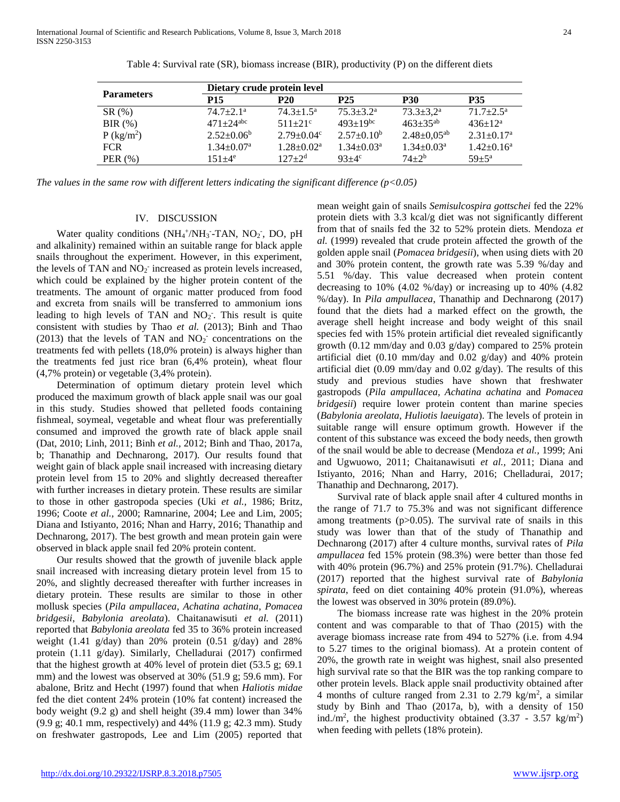|  | I<br>I |
|--|--------|
|  |        |

|                          |                           | Dietary crude protein level  |                 |                               |                              |  |  |  |
|--------------------------|---------------------------|------------------------------|-----------------|-------------------------------|------------------------------|--|--|--|
| <b>Parameters</b>        | <b>P15</b>                | <b>P20</b>                   | P <sub>25</sub> | <b>P30</b>                    | <b>P35</b>                   |  |  |  |
| $SR(\%)$                 | $74.7 + 2.1^{\circ}$      | $74.3 + 1.5^a$               | $75.3 + 3.2^a$  | $73.3 \pm 3.2^{\mathrm{a}}$   | $71.7 + 2.5^{\mathrm{a}}$    |  |  |  |
| BIR $(\%)$               | $471 + 24$ <sup>abc</sup> | $511+21$ °                   | $493+19^{bc}$   | $463 + 35^{ab}$               | $436+12^a$                   |  |  |  |
| $P$ (kg/m <sup>2</sup> ) | $2.52 \pm 0.06^b$         | $2.79 \pm 0.04$ <sup>c</sup> | $2.57+0.10b$    | $2.48 \pm 0.05$ <sup>ab</sup> | $2.31 \pm 0.17$ <sup>a</sup> |  |  |  |
| <b>FCR</b>               | $1.34 + 0.07a$            | $1.28 \pm 0.02^a$            | $1.34 + 0.03a$  | $1.34 \pm 0.03^{\text{a}}$    | $1.42 \pm 0.16^a$            |  |  |  |
| PER $(\% )$              | $151 + 4^e$               | $127 + 2^d$                  | $93+4^{\circ}$  | $74 + 2^b$                    | $59 + 5^{\rm a}$             |  |  |  |

Table 4: Survival rate (SR), biomass increase (BIR), productivity (P) on the different diets

*The values in the same row with different letters indicating the significant difference (p<0.05)* 

## IV. DISCUSSION

Water quality conditions  $(NH_4^+/NH_3^--TAN, NO_2, DO, pH)$ and alkalinity) remained within an suitable range for black apple snails throughout the experiment. However, in this experiment, the levels of TAN and  $NO<sub>2</sub>$  increased as protein levels increased, which could be explained by the higher protein content of the treatments. The amount of organic matter produced from food and excreta from snails will be transferred to ammonium ions leading to high levels of TAN and  $NO<sub>2</sub>$ . This result is quite consistent with studies by Thao *et al.* (2013); Binh and Thao (2013) that the levels of TAN and  $NO<sub>2</sub>$ <sup>-</sup> concentrations on the treatments fed with pellets (18,0% protein) is always higher than the treatments fed just rice bran (6,4% protein), wheat flour (4,7% protein) or vegetable (3,4% protein).

 Determination of optimum dietary protein level which produced the maximum growth of black apple snail was our goal in this study. Studies showed that pelleted foods containing fishmeal, soymeal, vegetable and wheat flour was preferentially consumed and improved the growth rate of black apple snail (Dat, 2010; Linh, 2011; Binh *et al.,* 2012; Binh and Thao, 2017a, b; Thanathip and Dechnarong, 2017). Our results found that weight gain of black apple snail increased with increasing dietary protein level from 15 to 20% and slightly decreased thereafter with further increases in dietary protein. These results are similar to those in other gastropoda species (Uki *et al.,* 1986; Britz, 1996; Coote *et al.,* 2000; Ramnarine, 2004; Lee and Lim, 2005; Diana and Istiyanto, 2016; Nhan and Harry, 2016; Thanathip and Dechnarong, 2017). The best growth and mean protein gain were observed in black apple snail fed 20% protein content.

 Our results showed that the growth of juvenile black apple snail increased with increasing dietary protein level from 15 to 20%, and slightly decreased thereafter with further increases in dietary protein. These results are similar to those in other mollusk species (*Pila ampullacea*, *Achatina achatina*, *Pomacea bridgesii*, *Babylonia areolata*). Chaitanawisuti *et al.* (2011) reported that *Babylonia areolata* fed 35 to 36% protein increased weight (1.41 g/day) than 20% protein (0.51 g/day) and  $28\%$ protein (1.11 g/day). Similarly, Chelladurai (2017) confirmed that the highest growth at 40% level of protein diet (53.5 g; 69.1 mm) and the lowest was observed at 30% (51.9 g; 59.6 mm). For abalone, Britz and Hecht (1997) found that when *Haliotis midae* fed the diet content 24% protein (10% fat content) increased the body weight (9.2 g) and shell height (39.4 mm) lower than 34% (9.9 g; 40.1 mm, respectively) and 44% (11.9 g; 42.3 mm). Study on freshwater gastropods, Lee and Lim (2005) reported that

mean weight gain of snails *Semisulcospira gottschei* fed the 22% protein diets with 3.3 kcal/g diet was not significantly different from that of snails fed the 32 to 52% protein diets. Mendoza *et al.* (1999) revealed that crude protein affected the growth of the golden apple snail (*Pomacea bridgesii*), when using diets with 20 and 30% protein content, the growth rate was 5.39 %/day and 5.51 %/day. This value decreased when protein content decreasing to 10% (4.02 %/day) or increasing up to 40% (4.82 %/day). In *Pila ampullacea*, Thanathip and Dechnarong (2017) found that the diets had a marked effect on the growth, the average shell height increase and body weight of this snail species fed with 15% protein artificial diet revealed significantly growth (0.12 mm/day and 0.03 g/day) compared to 25% protein artificial diet  $(0.10 \text{ mm/day}$  and  $0.02 \text{ g/day})$  and  $40\%$  protein artificial diet (0.09 mm/day and 0.02 g/day). The results of this study and previous studies have shown that freshwater gastropods (*Pila ampullacea, Achatina achatina* and *Pomacea bridgesii*) require lower protein content than marine species (*Babylonia areolata*, *Huliotis laeuigata*). The levels of protein in suitable range will ensure optimum growth. However if the content of this substance was exceed the body needs, then growth of the snail would be able to decrease (Mendoza *et al.,* 1999; Ani and Ugwuowo, 2011; Chaitanawisuti *et al.,* 2011; Diana and Istiyanto, 2016; Nhan and Harry, 2016; Chelladurai, 2017; Thanathip and Dechnarong, 2017).

 Survival rate of black apple snail after 4 cultured months in the range of 71.7 to 75.3% and was not significant difference among treatments  $(p>0.05)$ . The survival rate of snails in this study was lower than that of the study of Thanathip and Dechnarong (2017) after 4 culture months, survival rates of *Pila ampullacea* fed 15% protein (98.3%) were better than those fed with 40% protein (96.7%) and 25% protein (91.7%). Chelladurai (2017) reported that the highest survival rate of *Babylonia spirata*, feed on diet containing 40% protein (91.0%), whereas the lowest was observed in 30% protein (89.0%).

 The biomass increase rate was highest in the 20% protein content and was comparable to that of Thao (2015) with the average biomass increase rate from 494 to 527% (i.e. from 4.94 to 5.27 times to the original biomass). At a protein content of 20%, the growth rate in weight was highest, snail also presented high survival rate so that the BIR was the top ranking compare to other protein levels. Black apple snail productivity obtained after 4 months of culture ranged from 2.31 to 2.79 kg/m<sup>2</sup>, a similar study by Binh and Thao (2017a, b), with a density of 150 ind./m<sup>2</sup>, the highest productivity obtained  $(3.37 - 3.57 \text{ kg/m}^2)$ when feeding with pellets (18% protein).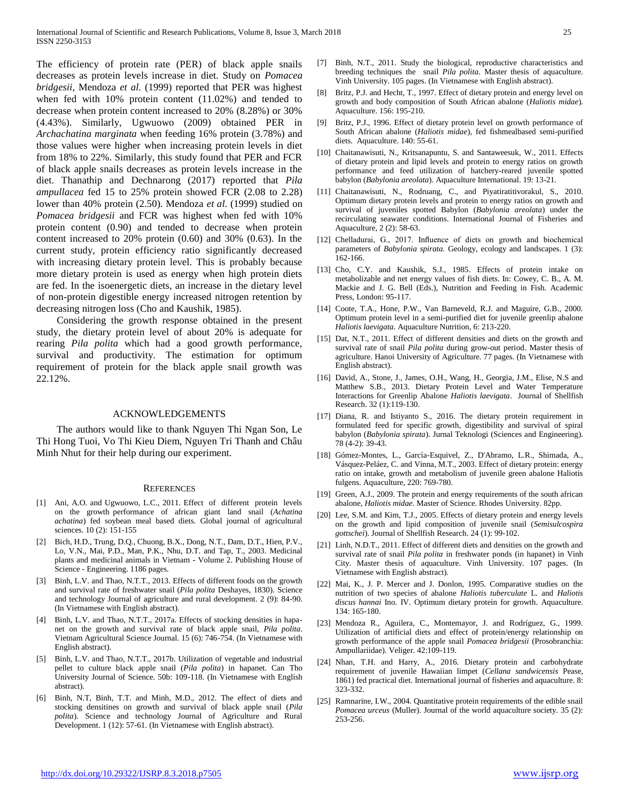The efficiency of protein rate (PER) of black apple snails decreases as protein levels increase in diet. Study on *Pomacea bridgesii*, Mendoza *et al.* (1999) reported that PER was highest when fed with 10% protein content (11.02%) and tended to decrease when protein content increased to 20% (8.28%) or 30% (4.43%). Similarly, Ugwuowo (2009) obtained PER in *Archachatina marginata* when feeding 16% protein (3.78%) and those values were higher when increasing protein levels in diet from 18% to 22%. Similarly, this study found that PER and FCR of black apple snails decreases as protein levels increase in the diet. Thanathip and Dechnarong (2017) reported that *Pila ampullacea* fed 15 to 25% protein showed FCR (2.08 to 2.28) lower than 40% protein (2.50). Mendoza *et al.* (1999) studied on *Pomacea bridgesii* and FCR was highest when fed with 10% protein content (0.90) and tended to decrease when protein content increased to 20% protein (0.60) and 30% (0.63). In the current study, protein efficiency ratio significantly decreased with increasing dietary protein level. This is probably because more dietary protein is used as energy when high protein diets are fed. In the isoenergetic diets, an increase in the dietary level of non-protein digestible energy increased nitrogen retention by decreasing nitrogen loss (Cho and Kaushik, 1985).

 Considering the growth response obtained in the present study, the dietary protein level of about 20% is adequate for rearing *Pila polita* which had a good growth performance, survival and productivity. The estimation for optimum requirement of protein for the black apple snail growth was 22.12%.

#### ACKNOWLEDGEMENTS

 The authors would like to thank Nguyen Thi Ngan Son, Le Thi Hong Tuoi, Vo Thi Kieu Diem, Nguyen Tri Thanh and Châu Minh Nhut for their help during our experiment.

#### **REFERENCES**

- [1] Ani, A.O. and Ugwuowo, L.C., 2011. Effect of different protein levels on the growth performance of african giant land snail (*Achatina achatina*) fed soybean meal based diets. Global journal of agricultural sciences. 10 (2): 151-155
- [2] Bich, H.D., Trung, D.Q., Chuong, B.X., Dong, N.T., Dam, D.T., Hien, P.V., Lo, V.N., Mai, P.D., Man, P.K., Nhu, D.T. and Tap, T., 2003. Medicinal plants and medicinal animals in Vietnam - Volume 2. Publishing House of Science - Engineering. 1186 pages.
- [3] Binh, L.V. and Thao, N.T.T., 2013. Effects of different foods on the growth and survival rate of freshwater snail (*Pila polita* Deshayes, 1830). Science and technology Journal of agriculture and rural development. 2 (9): 84-90. (In Vietnamese with English abstract).
- [4] Binh, L.V. and Thao, N.T.T., 2017a. Effects of stocking densities in hapanet on the growth and survival rate of black apple snail, *Pila polita*. Vietnam Agricultural Science Journal. 15 (6): 746-754. (In Vietnamese with English abstract).
- [5] Binh, L.V. and Thao, N.T.T., 2017b. Utilization of vegetable and industrial pellet to culture black apple snail (*Pila polita*) in hapanet. Can Tho University Journal of Science. 50b: 109-118. (In Vietnamese with English abstract).
- [6] Binh, N.T, Binh, T.T. and Minh, M.D., 2012. The effect of diets and stocking densitines on growth and survival of black apple snail (*Pila polita*). Science and technology Journal of Agriculture and Rural Development. 1 (12): 57-61. (In Vietnamese with English abstract).
- [7] Binh, N.T., 2011. Study the biological, reproductive characteristics and breeding techniques the snail *Pila polita*. Master thesis of aquaculture. Vinh University. 105 pages. (In Vietnamese with English abstract).
- Britz, P.J. and Hecht, T., 1997. Effect of dietary protein and energy level on growth and body composition of South African abalone (*Haliotis midae*). Aquaculture. 156: 195-210.
- [9] Britz, P.J., 1996. Effect of dietary protein level on growth performance of South African abalone (*Haliotis midae*), fed fishmealbased semi-purified diets. Aquaculture. 140: 55-61.
- [10] Chaitanawisuti, N., Kritsanapuntu, S. and Santaweesuk, W., 2011. Effects of dietary protein and lipid levels and protein to energy ratios on growth performance and feed utilization of hatchery-reared juvenile spotted babylon (*Babylonia areolata*). Aquaculture International. 19: 13-21.
- [11] Chaitanawisuti, N., Rodruang, C., and Piyatiratitivorakul, S., 2010. Optimum dietary protein levels and protein to energy ratios on growth and survival of juveniles spotted Babylon (*Babylonia areolata*) under the recirculating seawater conditions. International Journal of Fisheries and Aquaculture, 2 (2): 58-63.
- [12] Chelladurai, G., 2017. Influence of diets on growth and biochemical parameters of *Babylonia spirata*. Geology, ecology and landscapes. 1 (3): 162-166.
- [13] Cho, C.Y. and Kaushik, S.J., 1985. Effects of protein intake on metabolizable and net energy values of fish diets. In: Cowey, C. B., A. M. Mackie and J. G. Bell (Eds.), Nutrition and Feeding in Fish. Academic Press, London: 95-117.
- [14] Coote, T.A., Hone, P.W., Van Barneveld, R.J. and Maguire, G.B., 2000. Optimum protein level in a semi-purified diet for juvenile greenlip abalone *Haliotis laevigata*. Aquaculture Nutrition, 6: 213-220.
- [15] Dat, N.T., 2011. Effect of different densities and diets on the growth and survival rate of snail *Pila polita* during grow-out period. Master thesis of agriculture. Hanoi University of Agriculture. 77 pages. (In Vietnamese with English abstract).
- [16] David, A., Stone, J., James, O.H., Wang, H., Georgia, J.M., Elise, N.S and Matthew S.B., 2013. Dietary Protein Level and Water Temperature Interactions for Greenlip Abalone *Haliotis laevigata*. Journal of Shellfish Research. 32 (1):119-130.
- [17] Diana, R. and Istiyanto S., 2016. The dietary protein requirement in formulated feed for specific growth, digestibility and survival of spiral babylon (*Babylonia spirata*). Jurnal Teknologi (Sciences and Engineering). 78 (4-2): 39-43.
- [18] Gómez-Montes, L., García-Esquivel, Z., D'Abramo, L.R., Shimada, A., Vásquez-Peláez, C. and Vinna, M.T., 2003. Effect of dietary protein: energy ratio on intake, growth and metabolism of juvenile green abalone Haliotis fulgens. Aquaculture, 220: 769-780.
- [19] Green, A.J., 2009. The protein and energy requirements of the south african abalone, *Haliotis midae*. Master of Science. Rhodes University. 82pp.
- [20] Lee, S.M. and Kim, T.J., 2005. Effects of dietary protein and energy levels on the growth and lipid composition of juvenile snail (*Semisulcospira gottschei*). Journal of Shellfish Research. 24 (1): 99-102.
- [21] Linh, N.D.T., 2011. Effect of different diets and densities on the growth and survival rate of snail *Pila polita* in freshwater ponds (in hapanet) in Vinh City. Master thesis of aquaculture. Vinh University. 107 pages. (In Vietnamese with English abstract).
- [22] Mai, K., J. P. Mercer and J. Donlon, 1995. Comparative studies on the nutrition of two species of abalone *Haliotis tuberculate* L. and *Haliotis discus hannai* Ino. IV. Optimum dietary protein for growth. Aquaculture. 134: 165-180.
- [23] Mendoza R., Aguilera, C., Montemayor, J. and Rodríguez, G., 1999. Utilization of artificial diets and effect of protein/energy relationship on growth performance of the apple snail *Pomacea bridgesii* (Prosobranchia: Ampullariidae). Veliger. 42:109-119.
- [24] Nhan, T.H. and Harry, A., 2016. Dietary protein and carbohydrate requirement of juvenile Hawaiian limpet (*Cellana sandwicensis* Pease, 1861) fed practical diet. International journal of fisheries and aquaculture. 8: 323-332.
- [25] Ramnarine, I.W., 2004. Quantitative protein requirements of the edible snail *Pomacea urceus* (Muller). Journal of the world aquaculture society. 35 (2): 253-256.